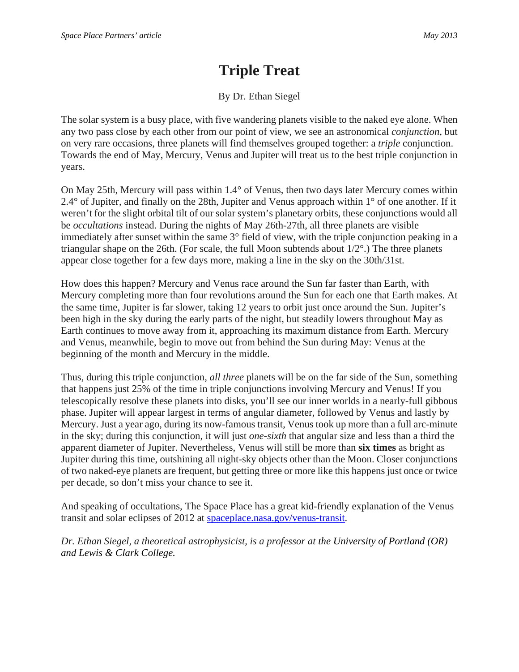## **Triple Treat**

## By Dr. Ethan Siegel

The solar system is a busy place, with five wandering planets visible to the naked eye alone. When any two pass close by each other from our point of view, we see an astronomical *conjunction*, but on very rare occasions, three planets will find themselves grouped together: a *triple* conjunction. Towards the end of May, Mercury, Venus and Jupiter will treat us to the best triple conjunction in years.

On May 25th, Mercury will pass within 1.4° of Venus, then two days later Mercury comes within 2.4° of Jupiter, and finally on the 28th, Jupiter and Venus approach within 1° of one another. If it weren't for the slight orbital tilt of our solar system's planetary orbits, these conjunctions would all be *occultations* instead. During the nights of May 26th-27th, all three planets are visible immediately after sunset within the same 3° field of view, with the triple conjunction peaking in a triangular shape on the 26th. (For scale, the full Moon subtends about 1/2°.) The three planets appear close together for a few days more, making a line in the sky on the 30th/31st.

How does this happen? Mercury and Venus race around the Sun far faster than Earth, with Mercury completing more than four revolutions around the Sun for each one that Earth makes. At the same time, Jupiter is far slower, taking 12 years to orbit just once around the Sun. Jupiter's been high in the sky during the early parts of the night, but steadily lowers throughout May as Earth continues to move away from it, approaching its maximum distance from Earth. Mercury and Venus, meanwhile, begin to move out from behind the Sun during May: Venus at the beginning of the month and Mercury in the middle.

Thus, during this triple conjunction, *all three* planets will be on the far side of the Sun, something that happens just 25% of the time in triple conjunctions involving Mercury and Venus! If you telescopically resolve these planets into disks, you'll see our inner worlds in a nearly-full gibbous phase. Jupiter will appear largest in terms of angular diameter, followed by Venus and lastly by Mercury. Just a year ago, during its now-famous transit, Venus took up more than a full arc-minute in the sky; during this conjunction, it will just *one-sixth* that angular size and less than a third the apparent diameter of Jupiter. Nevertheless, Venus will still be more than **six times** as bright as Jupiter during this time, outshining all night-sky objects other than the Moon. Closer conjunctions of two naked-eye planets are frequent, but getting three or more like this happens just once or twice per decade, so don't miss your chance to see it.

And speaking of occultations, The Space Place has a great kid-friendly explanation of the Venus transit and solar eclipses of 2012 at spaceplace.nasa.gov/venus-transit.

*Dr. Ethan Siegel, a theoretical astrophysicist, is a professor at the University of Portland (OR) and Lewis & Clark College.*